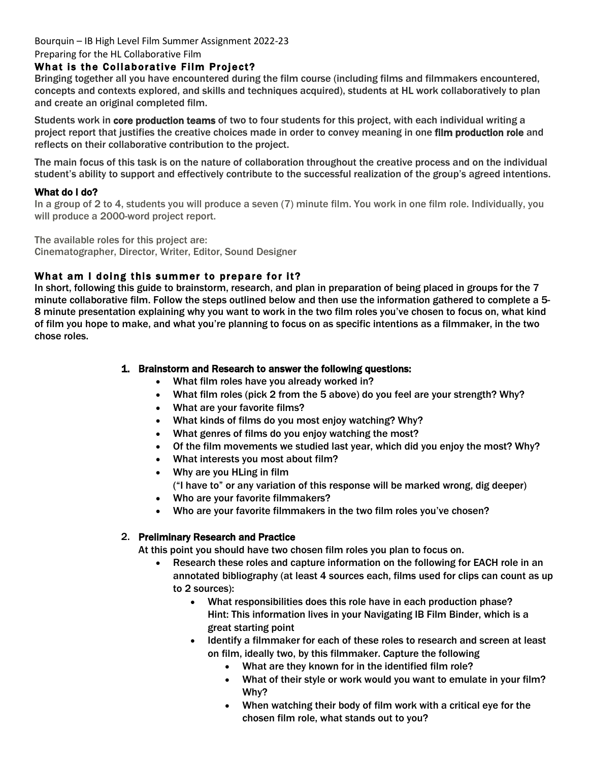### Bourquin – IB High Level Film Summer Assignment 2022-23

#### Preparing for the HL Collaborative Film

### What is the Collaborative Film Project?

Bringing together all you have encountered during the film course (including films and filmmakers encountered, concepts and contexts explored, and skills and techniques acquired), students at HL work collaboratively to plan and create an original completed film.

Students work in core production teams of two to four students for this project, with each individual writing a project report that justifies the creative choices made in order to convey meaning in one film production role and reflects on their collaborative contribution to the project.

The main focus of this task is on the nature of collaboration throughout the creative process and on the individual student's ability to support and effectively contribute to the successful realization of the group's agreed intentions.

#### What do I do?

In a group of 2 to 4, students you will produce a seven (7) minute film. You work in one film role. Individually, you will produce a 2000-word project report.

The available roles for this project are:

Cinematographer, Director, Writer, Editor, Sound Designer

## What am I doing this summer to prepare for it?

In short, following this guide to brainstorm, research, and plan in preparation of being placed in groups for the 7 minute collaborative film. Follow the steps outlined below and then use the information gathered to complete a 5- 8 minute presentation explaining why you want to work in the two film roles you've chosen to focus on, what kind of film you hope to make, and what you're planning to focus on as specific intentions as a filmmaker, in the two chose roles.

### 1. Brainstorm and Research to answer the following questions:

- What film roles have you already worked in?
- What film roles (pick 2 from the 5 above) do you feel are your strength? Why?
- What are your favorite films?
- What kinds of films do you most enjoy watching? Why?
- What genres of films do you enjoy watching the most?
- Of the film movements we studied last year, which did you enjoy the most? Why?
- What interests you most about film?
- Why are you HLing in film ("I have to" or any variation of this response will be marked wrong, dig deeper)
- Who are your favorite filmmakers?
- Who are your favorite filmmakers in the two film roles you've chosen?

#### 2. Preliminary Research and Practice

At this point you should have two chosen film roles you plan to focus on.

- Research these roles and capture information on the following for EACH role in an annotated bibliography (at least 4 sources each, films used for clips can count as up to 2 sources):
	- What responsibilities does this role have in each production phase? Hint: This information lives in your Navigating IB Film Binder, which is a great starting point
	- Identify a filmmaker for each of these roles to research and screen at least on film, ideally two, by this filmmaker. Capture the following
		- What are they known for in the identified film role?
		- What of their style or work would you want to emulate in your film? Why?
		- When watching their body of film work with a critical eye for the chosen film role, what stands out to you?